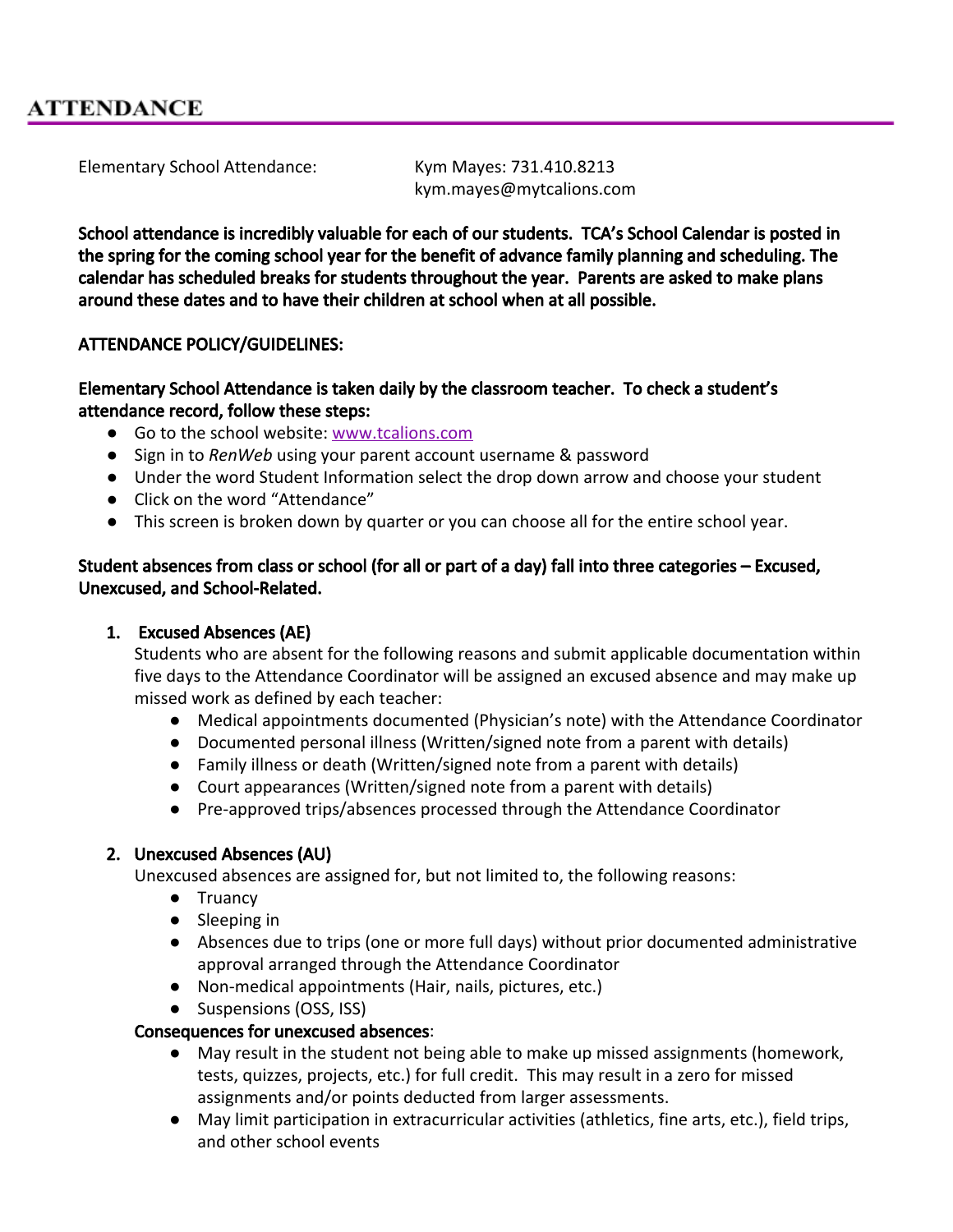Elementary School Attendance: Kym Mayes: 731.410.8213

kym.mayes@mytcalions.com

School attendance is incredibly valuable for each of our students. TCA's School Calendar is posted in the spring for the coming school year for the benefit of advance family planning and scheduling. The calendar has scheduled breaks for students throughout the year. Parents are asked to make plans around these dates and to have their children at school when at all possible.

## ATTENDANCE POLICY/GUIDELINES:

### Elementary School Attendance is taken daily by the classroom teacher. To check a student's attendance record, follow these steps:

- Go to the school website: [www.tcalions.com](http://www.tcalions.com/)
- Sign in to *RenWeb* using your parent account username & password
- Under the word Student Information select the drop down arrow and choose your student
- Click on the word "Attendance"
- This screen is broken down by quarter or you can choose all for the entire school year.

## Student absences from class or school (for all or part of a day) fall into three categories – Excused, Unexcused, and School-Related.

#### 1. Excused Absences (AE)

Students who are absent for the following reasons and submit applicable documentation within five days to the Attendance Coordinator will be assigned an excused absence and may make up missed work as defined by each teacher:

- Medical appointments documented (Physician's note) with the Attendance Coordinator
- Documented personal illness (Written/signed note from a parent with details)
- Family illness or death (Written/signed note from a parent with details)
- Court appearances (Written/signed note from a parent with details)
- Pre-approved trips/absences processed through the Attendance Coordinator

# 2. Unexcused Absences (AU)

Unexcused absences are assigned for, but not limited to, the following reasons:

- Truancy
- Sleeping in
- Absences due to trips (one or more full days) without prior documented administrative approval arranged through the Attendance Coordinator
- Non-medical appointments (Hair, nails, pictures, etc.)
- Suspensions (OSS, ISS)

# Consequences for unexcused absences:

- May result in the student not being able to make up missed assignments (homework, tests, quizzes, projects, etc.) for full credit. This may result in a zero for missed assignments and/or points deducted from larger assessments.
- May limit participation in extracurricular activities (athletics, fine arts, etc.), field trips, and other school events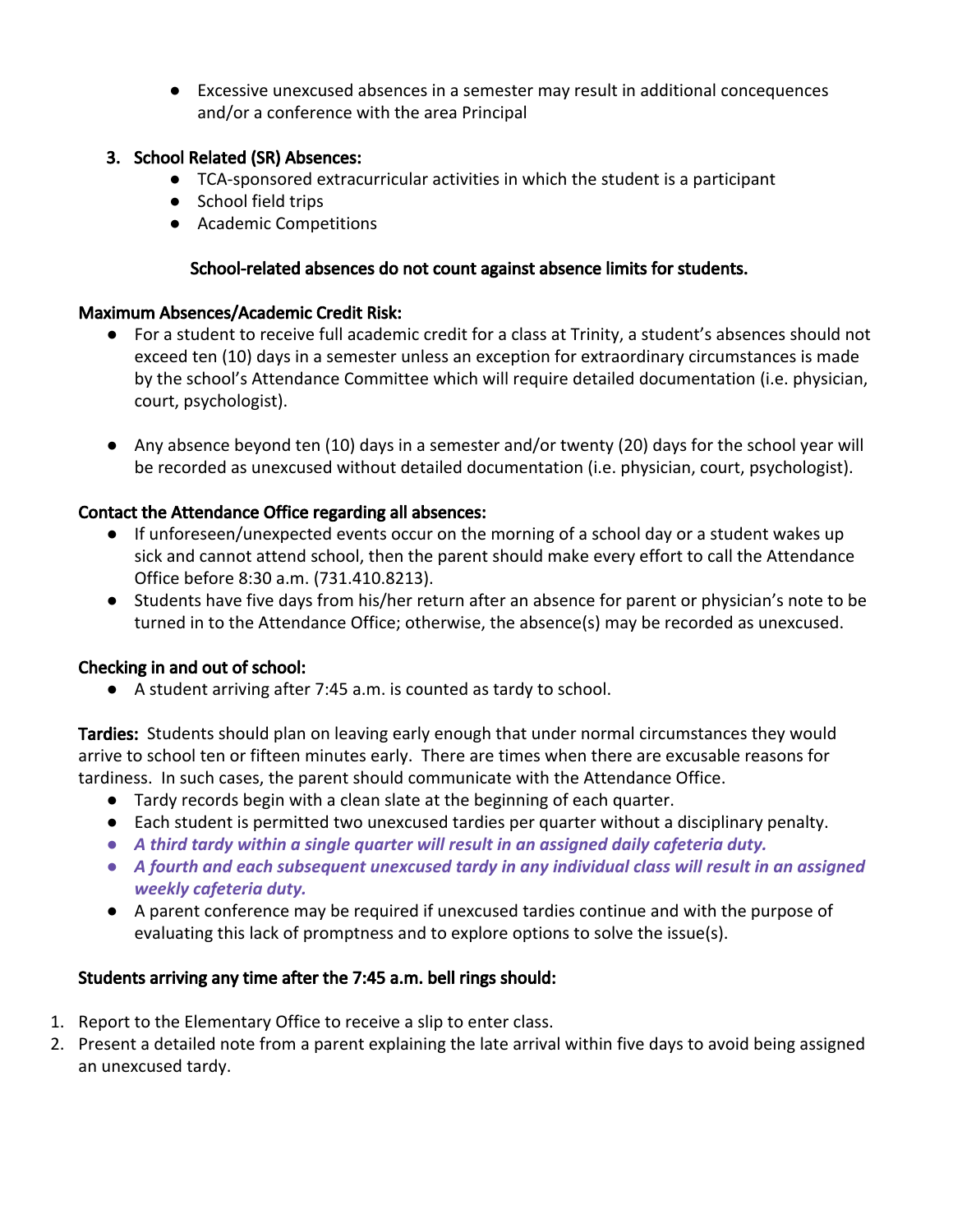● Excessive unexcused absences in a semester may result in additional concequences and/or a conference with the area Principal

## 3. School Related (SR) Absences:

- TCA-sponsored extracurricular activities in which the student is a participant
- School field trips
- Academic Competitions

#### School-related absences do not count against absence limits for students.

#### Maximum Absences/Academic Credit Risk:

- For a student to receive full academic credit for a class at Trinity, a student's absences should not exceed ten (10) days in a semester unless an exception for extraordinary circumstances is made by the school's Attendance Committee which will require detailed documentation (i.e. physician, court, psychologist).
- Any absence beyond ten (10) days in a semester and/or twenty (20) days for the school year will be recorded as unexcused without detailed documentation (i.e. physician, court, psychologist).

## Contact the Attendance Office regarding all absences:

- If unforeseen/unexpected events occur on the morning of a school day or a student wakes up sick and cannot attend school, then the parent should make every effort to call the Attendance Office before 8:30 a.m. (731.410.8213).
- Students have five days from his/her return after an absence for parent or physician's note to be turned in to the Attendance Office; otherwise, the absence(s) may be recorded as unexcused.

#### Checking in and out of school:

● A student arriving after 7:45 a.m. is counted as tardy to school.

Tardies: Students should plan on leaving early enough that under normal circumstances they would arrive to school ten or fifteen minutes early. There are times when there are excusable reasons for tardiness. In such cases, the parent should communicate with the Attendance Office.

- Tardy records begin with a clean slate at the beginning of each quarter.
- Each student is permitted two unexcused tardies per quarter without a disciplinary penalty.
- *● A third tardy within a single quarter will result in an assigned daily cafeteria duty.*
- *● A fourth and each subsequent unexcused tardy in any individual class will result in an assigned weekly cafeteria duty.*
- **●** A parent conference may be required if unexcused tardies continue and with the purpose of evaluating this lack of promptness and to explore options to solve the issue(s).

# Students arriving any time after the 7:45 a.m. bell rings should:

- 1. Report to the Elementary Office to receive a slip to enter class.
- 2. Present a detailed note from a parent explaining the late arrival within five days to avoid being assigned an unexcused tardy.